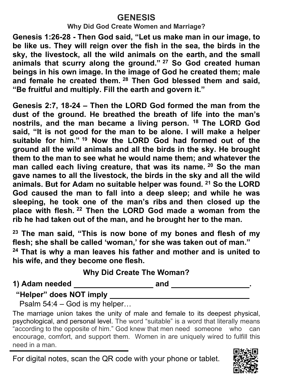## **GENESIS**

**Why Did God Create Women and Marriage?**

**Genesis 1:26-28 - Then God said, "Let us make man in our image, to be like us. They will reign over the fish in the sea, the birds in the sky, the livestock, all the wild animals on the earth, and the small animals that scurry along the ground." <sup>27</sup> So God created human beings in his own image. In the image of God he created them; male and female he created them. <sup>28</sup> Then God blessed them and said, "Be fruitful and multiply. Fill the earth and govern it."**

**Genesis 2:7, 18-24 – Then the LORD God formed the man from the dust of the ground. He breathed the breath of life into the man's nostrils, and the man became a living person. <sup>18</sup> The LORD God said, "It is not good for the man to be alone. I will make a helper suitable for him." <sup>19</sup> Now the LORD God had formed out of the ground all the wild animals and all the birds in the sky. He brought them to the man to see what he would name them; and whatever the man called each living creature, that was its name. <sup>20</sup> So the man gave names to all the livestock, the birds in the sky and all the wild animals. But for Adam no suitable helper was found. <sup>21</sup> So the LORD God caused the man to fall into a deep sleep; and while he was sleeping, he took one of the man's ribs and then closed up the place with flesh. <sup>22</sup> Then the LORD God made a woman from the rib he had taken out of the man, and he brought her to the man.**

**<sup>23</sup> The man said, "This is now bone of my bones and flesh of my flesh; she shall be called 'woman,' for she was taken out of man."**

**<sup>24</sup> That is why a man leaves his father and mother and is united to his wife, and they become one flesh.**

## **Why Did Create The Woman?**

**1) Adam needed and .**

**"Helper" does NOT imply** 

Psalm 54:4 – God is my helper…

The marriage union takes the unity of male and female to its deepest physical, psychological, and personal level. The word "suitable" is a word that literally means "according to the opposite of him." God knew that men need someone who can encourage, comfort, and support them. Women in are uniquely wired to fulfill this need in a man.

For digital notes, scan the QR code with your phone or tablet.